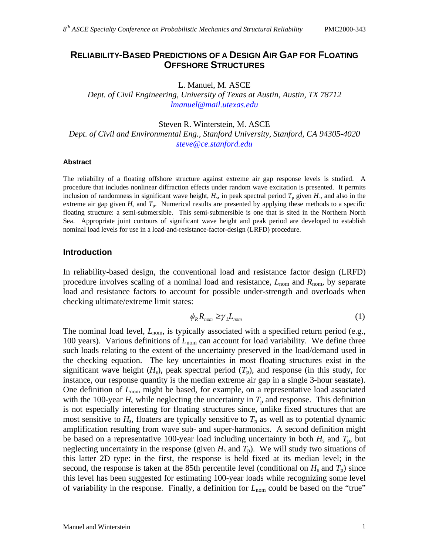# **RELIABILITY-BASED PREDICTIONS OF A DESIGN AIR GAP FOR FLOATING OFFSHORE STRUCTURES**

L. Manuel, M. ASCE

*Dept. of Civil Engineering, University of Texas at Austin, Austin, TX 78712 lmanuel@mail.utexas.edu* 

Steven R. Winterstein, M. ASCE

*Dept. of Civil and Environmental Eng., Stanford University, Stanford, CA 94305-4020 steve@ce.stanford.edu* 

#### **Abstract**

The reliability of a floating offshore structure against extreme air gap response levels is studied. A procedure that includes nonlinear diffraction effects under random wave excitation is presented. It permits inclusion of randomness in significant wave height,  $H_s$ , in peak spectral period  $T_p$  given  $H_s$ , and also in the extreme air gap given  $H_s$  and  $T_p$ . Numerical results are presented by applying these methods to a specific floating structure: a semi-submersible. This semi-submersible is one that is sited in the Northern North Sea. Appropriate joint contours of significant wave height and peak period are developed to establish nominal load levels for use in a load-and-resistance-factor-design (LRFD) procedure.

#### **Introduction**

In reliability-based design, the conventional load and resistance factor design (LRFD) procedure involves scaling of a nominal load and resistance, *L*nom and *R*nom, by separate load and resistance factors to account for possible under-strength and overloads when checking ultimate/extreme limit states:

$$
\phi_R R_{nom} \ge \gamma_L L_{nom} \tag{1}
$$

The nominal load level,  $L_{\text{nom}}$ , is typically associated with a specified return period (e.g., 100 years). Various definitions of  $L_{\text{nom}}$  can account for load variability. We define three such loads relating to the extent of the uncertainty preserved in the load/demand used in the checking equation. The key uncertainties in most floating structures exist in the significant wave height  $(H_s)$ , peak spectral period  $(T_p)$ , and response (in this study, for instance, our response quantity is the median extreme air gap in a single 3-hour seastate). One definition of *L*nom might be based, for example, on a representative load associated with the 100-year  $H_s$  while neglecting the uncertainty in  $T_p$  and response. This definition is not especially interesting for floating structures since, unlike fixed structures that are most sensitive to  $H_s$ , floaters are typically sensitive to  $T_p$  as well as to potential dynamic amplification resulting from wave sub- and super-harmonics. A second definition might be based on a representative 100-year load including uncertainty in both  $H_s$  and  $T_p$ , but neglecting uncertainty in the response (given  $H_s$  and  $T_p$ ). We will study two situations of this latter 2D type: in the first, the response is held fixed at its median level; in the second, the response is taken at the 85th percentile level (conditional on  $H_s$  and  $T_p$ ) since this level has been suggested for estimating 100-year loads while recognizing some level of variability in the response. Finally, a definition for  $L_{nom}$  could be based on the "true"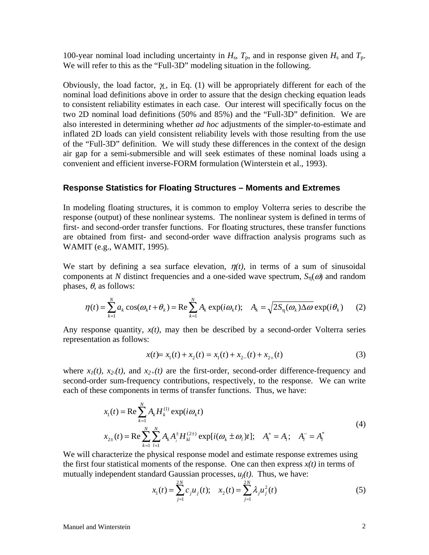100-year nominal load including uncertainty in  $H_s$ ,  $T_p$ , and in response given  $H_s$  and  $T_p$ . We will refer to this as the "Full-3D" modeling situation in the following.

Obviously, the load factor,  $\gamma$ , in Eq. (1) will be appropriately different for each of the nominal load definitions above in order to assure that the design checking equation leads to consistent reliability estimates in each case. Our interest will specifically focus on the two 2D nominal load definitions (50% and 85%) and the "Full-3D" definition. We are also interested in determining whether *ad hoc* adjustments of the simpler-to-estimate and inflated 2D loads can yield consistent reliability levels with those resulting from the use of the "Full-3D" definition. We will study these differences in the context of the design air gap for a semi-submersible and will seek estimates of these nominal loads using a convenient and efficient inverse-FORM formulation (Winterstein et al., 1993).

### **Response Statistics for Floating Structures – Moments and Extremes**

In modeling floating structures, it is common to employ Volterra series to describe the response (output) of these nonlinear systems. The nonlinear system is defined in terms of first- and second-order transfer functions. For floating structures, these transfer functions are obtained from first- and second-order wave diffraction analysis programs such as WAMIT (e.g., WAMIT, 1995).

We start by defining a sea surface elevation,  $\eta(t)$ , in terms of a sum of sinusoidal components at *N* distinct frequencies and a one-sided wave spectrum,  $S_n(\omega)$  and random phases,  $\theta$ , as follows:

$$
\eta(t) = \sum_{k=1}^{N} a_k \cos(\omega_k t + \theta_k) = \text{Re} \sum_{k=1}^{N} A_k \exp(i\omega_k t); \quad A_k = \sqrt{2S_n(\omega_k)\Delta\omega} \exp(i\theta_k) \tag{2}
$$

Any response quantity,  $x(t)$ , may then be described by a second-order Volterra series representation as follows:

$$
x(t) = x_1(t) + x_2(t) = x_1(t) + x_2(t) + x_2(t)
$$
\n(3)

where  $x_1(t)$ ,  $x_2(t)$ , and  $x_{2+}(t)$  are the first-order, second-order difference-frequency and second-order sum-frequency contributions, respectively, to the response. We can write each of these components in terms of transfer functions. Thus, we have:

$$
x_1(t) = \text{Re}\sum_{k=1}^{N} A_k H_k^{(1)} \exp(i\omega_k t)
$$
  
\n
$$
x_{2\pm}(t) = \text{Re}\sum_{k=1}^{N} \sum_{l=1}^{N} A_k A_l^{\pm} H_{kl}^{(2\pm)} \exp[i(\omega_k \pm \omega_l)t]; \quad A_l^+ = A_l; \quad A_l^- = A_l^*
$$
\n(4)

We will characterize the physical response model and estimate response extremes using the first four statistical moments of the response. One can then express  $x(t)$  in terms of mutually independent standard Gaussian processes,  $u_i(t)$ . Thus, we have:

$$
x_1(t) = \sum_{j=1}^{2N} c_j u_j(t); \quad x_2(t) = \sum_{j=1}^{2N} \lambda_j u_j^2(t)
$$
 (5)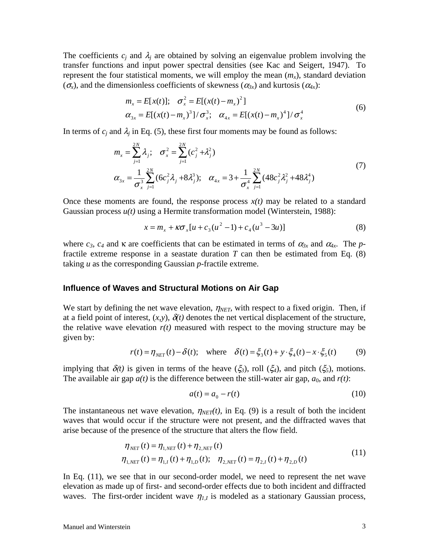The coefficients  $c_j$  and  $\lambda_j$  are obtained by solving an eigenvalue problem involving the transfer functions and input power spectral densities (see Kac and Seigert, 1947). To represent the four statistical moments, we will employ the mean  $(m_x)$ , standard deviation  $(\sigma_{\rm x})$ , and the dimensionless coefficients of skewness  $(\alpha_{3x})$  and kurtosis  $(\alpha_{4x})$ :

$$
m_x = E[x(t)]; \quad \sigma_x^2 = E[(x(t) - m_x)^2]
$$
  
\n
$$
\alpha_{3x} = E[(x(t) - m_x)^3]/\sigma_x^3; \quad \alpha_{4x} = E[(x(t) - m_x)^4]/\sigma_x^4
$$
\n(6)

In terms of  $c_j$  and  $\lambda_j$  in Eq. (5), these first four moments may be found as follows:

$$
m_x = \sum_{j=1}^{2N} \lambda_j; \quad \sigma_x^2 = \sum_{j=1}^{2N} (c_j^2 + \lambda_j^2)
$$
  

$$
\alpha_{3x} = \frac{1}{\sigma_x^3} \sum_{j=1}^{2N} (6c_j^2 \lambda_j + 8\lambda_j^3); \quad \alpha_{4x} = 3 + \frac{1}{\sigma_x^4} \sum_{j=1}^{2N} (48c_j^2 \lambda_j^2 + 48\lambda_j^4)
$$
 (7)

Once these moments are found, the response process  $x(t)$  may be related to a standard Gaussian process *u(t)* using a Hermite transformation model (Winterstein, 1988):

$$
x = m_x + \kappa \sigma_x [u + c_3(u^2 - 1) + c_4(u^3 - 3u)] \tag{8}
$$

where  $c_3$ ,  $c_4$  and  $\kappa$  are coefficients that can be estimated in terms of  $\alpha_{3x}$  and  $\alpha_{4x}$ . The *p*fractile extreme response in a seastate duration  $T$  can then be estimated from Eq.  $(8)$ taking *u* as the corresponding Gaussian *p*-fractile extreme.

### **Influence of Waves and Structural Motions on Air Gap**

We start by defining the net wave elevation,  $\eta_{NET}$ , with respect to a fixed origin. Then, if at a field point of interest,  $(x, y)$ ,  $\delta(t)$  denotes the net vertical displacement of the structure, the relative wave elevation  $r(t)$  measured with respect to the moving structure may be given by:

$$
r(t) = \eta_{NET}(t) - \delta(t); \quad \text{where} \quad \delta(t) = \xi_3(t) + y \cdot \xi_4(t) - x \cdot \xi_5(t) \tag{9}
$$

implying that  $\delta(t)$  is given in terms of the heave  $(\xi_3)$ , roll  $(\xi_4)$ , and pitch  $(\xi_5)$ , motions. The available air gap  $a(t)$  is the difference between the still-water air gap,  $a_0$ , and  $r(t)$ :

$$
a(t) = a_0 - r(t) \tag{10}
$$

The instantaneous net wave elevation,  $\eta_{NET}(t)$ , in Eq. (9) is a result of both the incident waves that would occur if the structure were not present, and the diffracted waves that arise because of the presence of the structure that alters the flow field.

$$
\eta_{NET}(t) = \eta_{1,NET}(t) + \eta_{2,NET}(t)
$$
\n
$$
\eta_{1,NET}(t) = \eta_{1,1}(t) + \eta_{1,D}(t); \quad \eta_{2,NET}(t) = \eta_{2,1}(t) + \eta_{2,D}(t)
$$
\n(11)

In Eq. (11), we see that in our second-order model, we need to represent the net wave elevation as made up of first- and second-order effects due to both incident and diffracted waves. The first-order incident wave  $\eta_{I,I}$  is modeled as a stationary Gaussian process,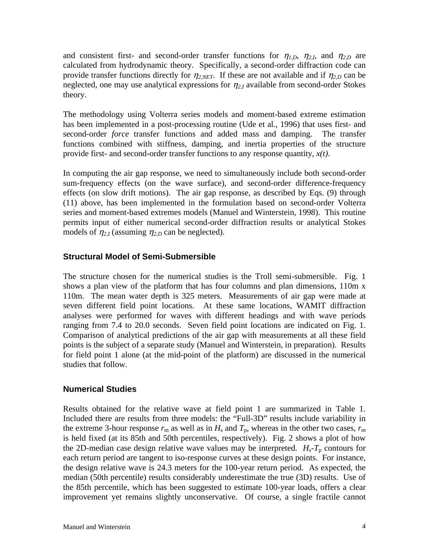and consistent first- and second-order transfer functions for  $\eta_{1,D}$ ,  $\eta_{2,I}$ , and  $\eta_{2,D}$  are calculated from hydrodynamic theory. Specifically, a second-order diffraction code can provide transfer functions directly for  $\eta_{2,NET}$ . If these are not available and if  $\eta_{2,D}$  can be neglected, one may use analytical expressions for  $\eta_{2,I}$  available from second-order Stokes theory.

The methodology using Volterra series models and moment-based extreme estimation has been implemented in a post-processing routine (Ude et al., 1996) that uses first- and second-order *force* transfer functions and added mass and damping. The transfer functions combined with stiffness, damping, and inertia properties of the structure provide first- and second-order transfer functions to any response quantity, *x(t)*.

In computing the air gap response, we need to simultaneously include both second-order sum-frequency effects (on the wave surface), and second-order difference-frequency effects (on slow drift motions). The air gap response, as described by Eqs. (9) through (11) above, has been implemented in the formulation based on second-order Volterra series and moment-based extremes models (Manuel and Winterstein, 1998). This routine permits input of either numerical second-order diffraction results or analytical Stokes models of  $\eta_{2,I}$  (assuming  $\eta_{2,D}$  can be neglected).

### **Structural Model of Semi-Submersible**

The structure chosen for the numerical studies is the Troll semi-submersible. Fig. 1 shows a plan view of the platform that has four columns and plan dimensions, 110m x 110m. The mean water depth is 325 meters. Measurements of air gap were made at seven different field point locations. At these same locations, WAMIT diffraction analyses were performed for waves with different headings and with wave periods ranging from 7.4 to 20.0 seconds. Seven field point locations are indicated on Fig. 1. Comparison of analytical predictions of the air gap with measurements at all these field points is the subject of a separate study (Manuel and Winterstein, in preparation). Results for field point 1 alone (at the mid-point of the platform) are discussed in the numerical studies that follow.

## **Numerical Studies**

Results obtained for the relative wave at field point 1 are summarized in Table 1. Included there are results from three models: the "Full-3D" results include variability in the extreme 3-hour response  $r_m$  as well as in  $H_s$  and  $T_p$ , whereas in the other two cases,  $r_m$ is held fixed (at its 85th and 50th percentiles, respectively). Fig. 2 shows a plot of how the 2D-median case design relative wave values may be interpreted.  $H_s - T_p$  contours for each return period are tangent to iso-response curves at these design points. For instance, the design relative wave is 24.3 meters for the 100-year return period. As expected, the median (50th percentile) results considerably underestimate the true (3D) results. Use of the 85th percentile, which has been suggested to estimate 100-year loads, offers a clear improvement yet remains slightly unconservative. Of course, a single fractile cannot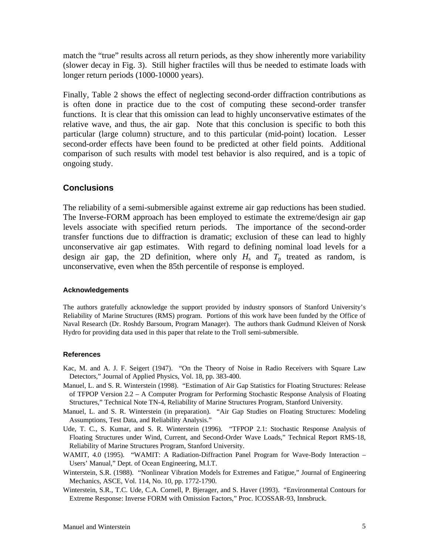match the "true" results across all return periods, as they show inherently more variability (slower decay in Fig. 3). Still higher fractiles will thus be needed to estimate loads with longer return periods (1000-10000 years).

Finally, Table 2 shows the effect of neglecting second-order diffraction contributions as is often done in practice due to the cost of computing these second-order transfer functions. It is clear that this omission can lead to highly unconservative estimates of the relative wave, and thus, the air gap. Note that this conclusion is specific to both this particular (large column) structure, and to this particular (mid-point) location. Lesser second-order effects have been found to be predicted at other field points. Additional comparison of such results with model test behavior is also required, and is a topic of ongoing study.

## **Conclusions**

The reliability of a semi-submersible against extreme air gap reductions has been studied. The Inverse-FORM approach has been employed to estimate the extreme/design air gap levels associate with specified return periods. The importance of the second-order transfer functions due to diffraction is dramatic; exclusion of these can lead to highly unconservative air gap estimates. With regard to defining nominal load levels for a design air gap, the 2D definition, where only  $H_s$  and  $T_p$  treated as random, is unconservative, even when the 85th percentile of response is employed.

#### **Acknowledgements**

The authors gratefully acknowledge the support provided by industry sponsors of Stanford University's Reliability of Marine Structures (RMS) program. Portions of this work have been funded by the Office of Naval Research (Dr. Roshdy Barsoum, Program Manager). The authors thank Gudmund Kleiven of Norsk Hydro for providing data used in this paper that relate to the Troll semi-submersible.

#### **References**

- Kac, M. and A. J. F. Seigert (1947). "On the Theory of Noise in Radio Receivers with Square Law Detectors," Journal of Applied Physics, Vol. 18, pp. 383-400.
- Manuel, L. and S. R. Winterstein (1998). "Estimation of Air Gap Statistics for Floating Structures: Release of TFPOP Version 2.2 – A Computer Program for Performing Stochastic Response Analysis of Floating Structures," Technical Note TN-4, Reliability of Marine Structures Program, Stanford University.
- Manuel, L. and S. R. Winterstein (in preparation). "Air Gap Studies on Floating Structures: Modeling Assumptions, Test Data, and Reliability Analysis."
- Ude, T. C., S. Kumar, and S. R. Winterstein (1996). "TFPOP 2.1: Stochastic Response Analysis of Floating Structures under Wind, Current, and Second-Order Wave Loads," Technical Report RMS-18, Reliability of Marine Structures Program, Stanford University.
- WAMIT, 4.0 (1995). "WAMIT: A Radiation-Diffraction Panel Program for Wave-Body Interaction Users' Manual," Dept. of Ocean Engineering, M.I.T.
- Winterstein, S.R. (1988). "Nonlinear Vibration Models for Extremes and Fatigue," Journal of Engineering Mechanics, ASCE, Vol. 114, No. 10, pp. 1772-1790.
- Winterstein, S.R., T.C. Ude, C.A. Cornell, P. Bjerager, and S. Haver (1993). "Environmental Contours for Extreme Response: Inverse FORM with Omission Factors," Proc. ICOSSAR-93, Innsbruck.